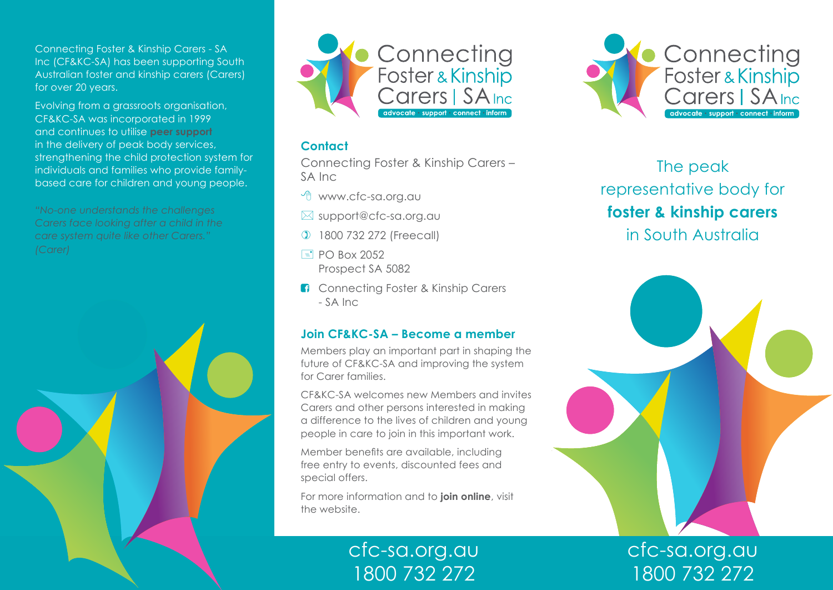Connecting Foster & Kinship Carers - SA Inc (CF&KC-SA) has been supporting South Australian foster and kinship carers (Carers) for over 20 years.

Evolving from a grassroots organisation, CF&KC-SA was incorporated in 1999 and continues to utilise **peer support** in the delivery of peak body services, strengthening the child protection system for individuals and families who provide familybased care for children and young people.

*"No-one understands the challenges Carers face looking after a child in the care system quite like other Carers."*





### **Contact**

Connecting Foster & Kinship Carers – SA Inc

 $\Theta$  www.cfc-sa.org.au

- $\boxtimes$  support@cfc-sa.org.au
- ) 1800 732 272 (Freecall)
- $\equiv$  PO Box 2052 Prospect SA 5082
- **f** Connecting Foster & Kinship Carers - SA Inc

### **Join CF&KC-SA – Become a member**

Members play an important part in shaping the future of CF&KC-SA and improving the system for Carer families.

CF&KC-SA welcomes new Members and invites Carers and other persons interested in making a difference to the lives of children and young people in care to join in this important work.

Member benefits are available, including free entry to events, discounted fees and special offers.

For more information and to **join online**, visit the website.

> cfc-sa.org.au 1800 732 272



# The peak representative body for **foster & kinship carers** in South Australia



cfc-sa.org.au 1800 732 272